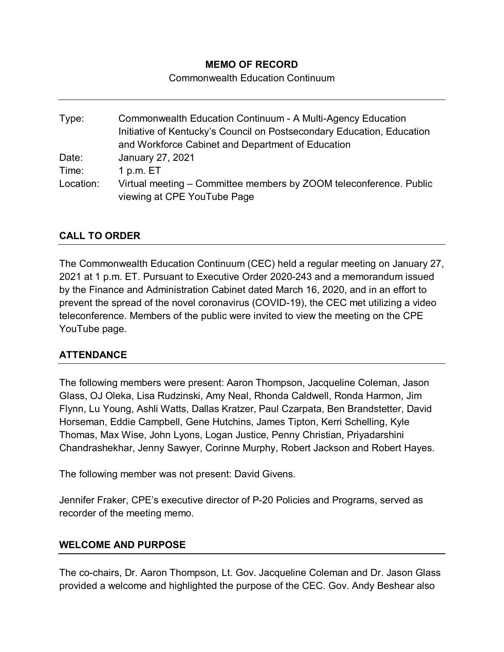# **MEMO OF RECORD**

Commonwealth Education Continuum

Type: Commonwealth Education Continuum - A Multi-Agency Education Initiative of Kentucky's Council on Postsecondary Education, Education and Workforce Cabinet and Department of Education Date: January 27, 2021 Time: 1 p.m. ET Location: Virtual meeting – Committee members by ZOOM teleconference. Public viewing at CPE YouTube Page

# **CALL TO ORDER**

The Commonwealth Education Continuum (CEC) held a regular meeting on January 27, 2021 at 1 p.m. ET. Pursuant to Executive Order 2020-243 and a memorandum issued by the Finance and Administration Cabinet dated March 16, 2020, and in an effort to prevent the spread of the novel coronavirus (COVID-19), the CEC met utilizing a video teleconference. Members of the public were invited to view the meeting on the CPE YouTube page.

# **ATTENDANCE**

The following members were present: Aaron Thompson, Jacqueline Coleman, Jason Glass, OJ Oleka, Lisa Rudzinski, Amy Neal, Rhonda Caldwell, Ronda Harmon, Jim Flynn, Lu Young, Ashli Watts, Dallas Kratzer, Paul Czarpata, Ben Brandstetter, David Horseman, Eddie Campbell, Gene Hutchins, James Tipton, Kerri Schelling, Kyle Thomas, Max Wise, John Lyons, Logan Justice, Penny Christian, Priyadarshini Chandrashekhar, Jenny Sawyer, Corinne Murphy, Robert Jackson and Robert Hayes.

The following member was not present: David Givens.

Jennifer Fraker, CPE's executive director of P-20 Policies and Programs, served as recorder of the meeting memo.

#### **WELCOME AND PURPOSE**

The co-chairs, Dr. Aaron Thompson, Lt. Gov. Jacqueline Coleman and Dr. Jason Glass provided a welcome and highlighted the purpose of the CEC. Gov. Andy Beshear also